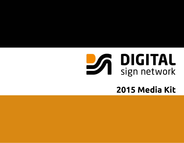# **DA DIGITAL**<br>Sign network

#### **2015 Media Kit**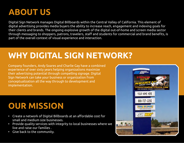#### **ABOUT US**

Digital Sign Network manages Digital Billboards within the Central Valley of California. This element of digital advertising provides media buyers the ability to increase reach, engagement and indexing goals for their clients and brands. The ongoing explosive growth of the digital out-of-home and screen media sector through messaging to shoppers, patrons, travelers, staff and students for commercial and brand benefits, is part of the overall context of visual experience and interaction.

#### **WHY DIGITAL SIGN NETWORK?**

Company founders, Andy Soares and Charlie Gay have a combined experience of over sixty years helping organizations maximize their advertising potential through compelling signage. Digital Sign Network can take your business or organization from conceptualization all the way through to development and implementation.

# **OUR MISSION**

- Create a network of Digital Billboards at an affordable cost for small and medium size businesses.
- Provide quality services with integrity to local businesses where we live and raise our families .
- Give back to the community.

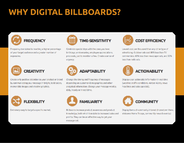## WHY DIGITAL BILLBOARDS?



Frequency branslates to reaching a higher percentage of your target audience and a greater number of exposures.



**CREATIVITY** 

Create only positive attention to your product or brand by communicating your message in bright, bold colors, memorable images and creative graphics.



Extremely easy to target a specific market.



Celebrate special days with the ones you love: birthdays, anniversaries, employee appreciations, proposals, just to mention a few. Create a sense of urgency.



Change the timing and frequency of messages depending on customer demographics and other analytical information. Change your message weekly, daily, hourly or in real time.



Billboards increase product awareness and product knowledge, both which translate bo increased sales and profits. They can be an effective way to get your message out.



Lowest cost per thousand than any other type of advertising. Outdoor ads cost 80% less than TV commercials, 60% less than newspaper ads, and 50% less than radio ads.



Display clear, actionable information in real time. (weather, traffic conditions, Amber Alerts, newsheadlines and sales specials).



Display items of community interest (Hometown Hero, Welcome Home Troops, community news & events.)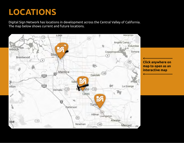## **LOCATIONS**

Digital Sign Network has locations in development across the Central Valley of California. The map below shows current and future locations.



**<------------------------- Click anywhere on map to open as an interactive map**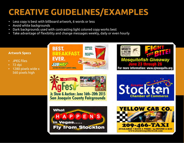# **CREATIVE GUIDELINES/EXAMPLES**

- Less copy is best with billboard artwork, 6 words or less
- Avoid white backgrounds
- Dark backgrounds used with contrasting light colored copy works best
- Take advantage of flexibility and change messages weekly, daily or even hourly

#### **Artwork Specs**

- JPEG files
- 72 dpi
- 1280 pixels wide x 560 pixels high